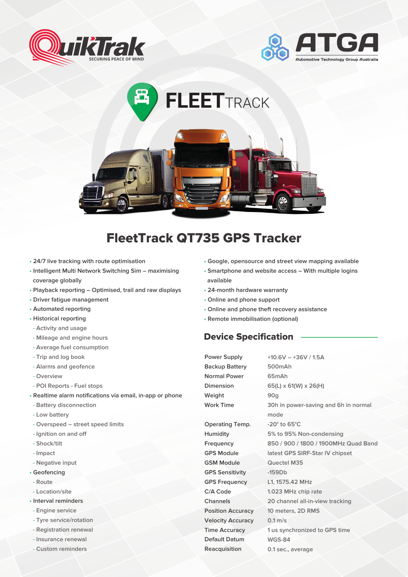





## FleetTrack QT735 GPS Tracker

- **24/7 live tracking with route optimisation**
- **Intelligent Multi Network Switching Sim maximising coverage globally**
- **• Playback reporting Optimised, trail and raw displays**
- **• Driver fatigue management**
- **• Automated reporting**
- **Historical reporting**
- **Activity and usage**
- **Mileage and engine hours**
- **Average fuel consumption**
- **Trip and log book**
- **Alarms and geofence**
- **Overview**
- **POI Reports Fuel stops**
- **Realtime alarm notifications via email, in-app or phone**
- **Battery disconnection**
- **Low battery**
- **Overspeed street speed limits**
- **Ignition on and off**
- **Shock/tilt**
- **Impact**
- **Negative input**
- **• Geofencing**
- **Route**
- **Location/site**
- **• Interval reminders**
- **- Engine service**
- **- Tyre service/rotation**
- **- Registration renewal**
- **- Insurance renewal**
- **- Custom reminders**
- **• Google, opensource and street view mapping available**
- **• Smartphone and website access With multiple logins available**
- **• 24-month hardware warranty**
- **• Online and phone support**
- **• Online and phone theft recovery assistance**
- **• Remote immobilisation (optional)**

## Device Specification

**Power Supply Backup Battery Normal Power Dimension Weight Work Time Operating Temp. Humidity Frequency GPS Module GSM Module GPS Sensitivity GPS Frequency C/A Code Channels Position Accuracy Velocity Accuracy Time Accuracy Default Datum Reacquisition**

**+10.6V – +36V / 1.5A 500mAh 65mAh 65(L) x 61(W) x 26(H) 90g 30h in power-saving and 6h in normal mode -20° to 65°C 5% to 95% Non-condensing 850 / 900 / 1800 / 1900MHz Quad Band latest GPS SIRF-Star IV chipset Quectel M35 -159Db L1, 1575.42 MHz 1.023 MHz chip rate 20 channel all-in-view tracking 10 meters, 2D RMS 0.1 m/s 1 us synchronized to GPS time WGS-84 0.1 sec., average**